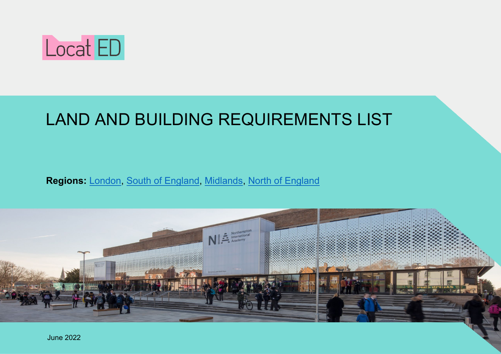

# LAND AND BUILDING REQUIREMENTS LIST

**Regions:** [London,](#page-2-0) [South of England,](#page-3-0) [Midlands,](#page-4-0) [North of England](#page-5-0)

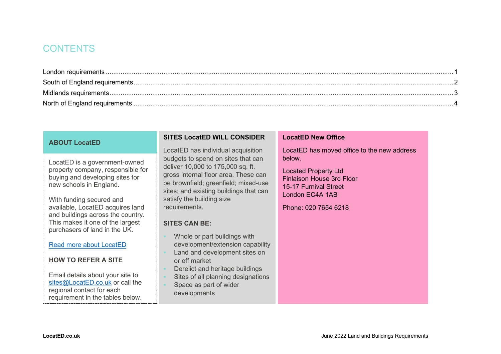### **CONTENTS**

#### **ABOUT LocatED**

LocatED is a government-owned property company, responsible for buying and developing sites for new schools in England.

With funding secured and available, LocatED acquires land and buildings across the country. This makes it one of the largest purchasers of land in the UK.

[Read more about LocatED](https://located.co.uk/sites/) 

#### **HOW TO REFER A SITE**

Email details about your site to sites@LocatED.co.uk or call the regional contact for each requirement in the tables below.

#### **SITES LocatED WILL CONSIDER**

LocatED has individual acquisition budgets to spend on sites that can deliver 10,000 to 175,000 sq. ft. gross internal floor area. These can be brownfield; greenfield; mixed-use sites; and existing buildings that can satisfy the building size requirements.

#### **SITES CAN BE:**

- Whole or part buildings with development/extension capability
- **Land and development sites on** or off market
- Derelict and heritage buildings
- Sites of all planning designations
- Space as part of wider developments

#### **LocatED New Office**

LocatED has moved office to the new address below.

Located Property Ltd Finlaison House 3rd Floor 15-17 Furnival Street London EC4A 1AB

Phone: 020 7654 6218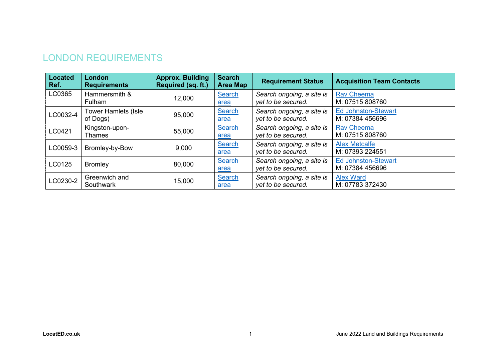# <span id="page-2-0"></span>LONDON REQUIREMENTS

| <b>Located</b><br>Ref. | London<br><b>Requirements</b>          | <b>Approx. Building</b><br>Required (sq. ft.) | <b>Search</b><br><b>Area Map</b> | <b>Requirement Status</b>                       | <b>Acquisition Team Contacts</b>              |
|------------------------|----------------------------------------|-----------------------------------------------|----------------------------------|-------------------------------------------------|-----------------------------------------------|
| LC0365                 | Hammersmith &<br>Fulham                | 12,000                                        | Search<br>area                   | Search ongoing, a site is<br>yet to be secured. | <b>Rav Cheema</b><br>M: 07515 808760          |
| LC0032-4               | <b>Tower Hamlets (Isle</b><br>of Dogs) | 95,000                                        | Search<br>area                   | Search ongoing, a site is<br>yet to be secured. | <b>Ed Johnston-Stewart</b><br>M: 07384 456696 |
| LC0421                 | Kingston-upon-<br><b>Thames</b>        | 55,000                                        | Search<br><u>area</u>            | Search ongoing, a site is<br>yet to be secured. | <b>Rav Cheema</b><br>M: 07515 808760          |
| LC0059-3               | Bromley-by-Bow                         | 9,000                                         | <b>Search</b><br>area            | Search ongoing, a site is<br>yet to be secured. | <b>Alex Metcalfe</b><br>M: 07393 224551       |
| LC0125                 | <b>Bromley</b>                         | 80,000                                        | Search<br>area                   | Search ongoing, a site is<br>yet to be secured. | <b>Ed Johnston-Stewart</b><br>M: 07384 456696 |
| LC0230-2               | Greenwich and<br>Southwark             | 15,000                                        | Search<br>area                   | Search ongoing, a site is<br>yet to be secured. | <b>Alex Ward</b><br>M: 07783 372430           |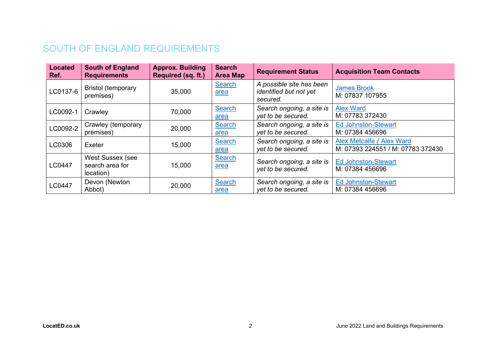# <span id="page-3-0"></span>SOUTH OF ENGLAND REQUIREMENTS

| <b>Located</b><br>Ref. | <b>South of England</b><br><b>Requirements</b>   | <b>Approx. Building</b><br>Required (sq. ft.) | <b>Search</b><br><b>Area Map</b> | <b>Requirement Status</b>                                      | <b>Acquisition Team Contacts</b>                               |
|------------------------|--------------------------------------------------|-----------------------------------------------|----------------------------------|----------------------------------------------------------------|----------------------------------------------------------------|
| LC0137-6               | <b>Bristol (temporary</b><br>premises)           | 35,000                                        | Search<br>area                   | A possible site has been<br>identified but not yet<br>secured. | <b>James Brook</b><br>M: 07837 107955                          |
| LC0092-1               | Crawley                                          | 70,000                                        | <b>Search</b><br>area            | Search ongoing, a site is<br>yet to be secured.                | <b>Alex Ward</b><br>M: 07783 372430                            |
| LC0092-2               | Crawley (temporary<br>premises)                  | 20,000                                        | <b>Search</b><br>area            | Search ongoing, a site is<br>yet to be secured.                | <b>Ed Johnston-Stewart</b><br>M: 07384 456696                  |
| LC0306                 | Exeter                                           | 15,000                                        | Search<br>area                   | Search ongoing, a site is<br>yet to be secured.                | Alex Metcalfe / Alex Ward<br>M: 07393 224551 / M: 07783 372430 |
| <b>LC0447</b>          | West Sussex (see<br>search area for<br>location) | 15,000                                        | <b>Search</b><br>area            | Search ongoing, a site is<br>yet to be secured.                | <b>Ed Johnston-Stewart</b><br>M: 07384 456696                  |
| LC0447                 | Devon (Newton<br>Abbot)                          | 20,000                                        | <b>Search</b><br>area            | Search ongoing, a site is<br>yet to be secured.                | <b>Ed Johnston-Stewart</b><br>M: 07384 456696                  |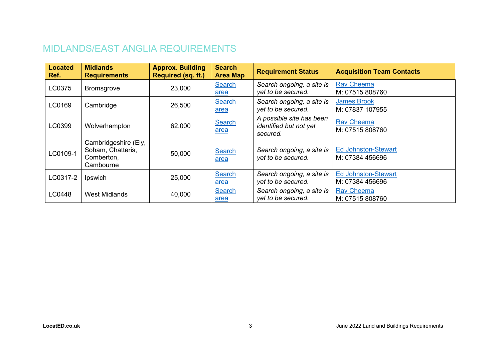# <span id="page-4-0"></span>MIDLANDS/EAST ANGLIA REQUIREMENTS

| <b>Located</b><br>Ref. | <b>Midlands</b><br><b>Requirements</b>                               | <b>Approx. Building</b><br>Required (sq. ft.) | <b>Search</b><br><b>Area Map</b> | <b>Requirement Status</b>                                      | <b>Acquisition Team Contacts</b>              |
|------------------------|----------------------------------------------------------------------|-----------------------------------------------|----------------------------------|----------------------------------------------------------------|-----------------------------------------------|
| LC0375                 | <b>Bromsgrove</b>                                                    | 23,000                                        | <b>Search</b><br>area            | Search ongoing, a site is<br>yet to be secured.                | <b>Rav Cheema</b><br>M: 07515 808760          |
| LC0169                 | Cambridge                                                            | 26,500                                        | <b>Search</b><br>area            | Search ongoing, a site is<br>yet to be secured.                | <b>James Brook</b><br>M: 07837 107955         |
| LC0399                 | Wolverhampton                                                        | 62,000                                        | <b>Search</b><br>area            | A possible site has been<br>identified but not yet<br>secured. | <b>Rav Cheema</b><br>M: 07515 808760          |
| LC0109-1               | Cambridgeshire (Ely,<br>Soham, Chatteris,<br>Comberton,<br>Cambourne | 50,000                                        | <b>Search</b><br>area            | Search ongoing, a site is<br>yet to be secured.                | <b>Ed Johnston-Stewart</b><br>M: 07384 456696 |
| LC0317-2               | Ipswich                                                              | 25,000                                        | <b>Search</b><br>area            | Search ongoing, a site is<br>yet to be secured.                | <b>Ed Johnston-Stewart</b><br>M: 07384 456696 |
| LC0448                 | <b>West Midlands</b>                                                 | 40,000                                        | <b>Search</b><br><u>area</u>     | Search ongoing, a site is<br>yet to be secured.                | <b>Rav Cheema</b><br>M: 07515 808760          |